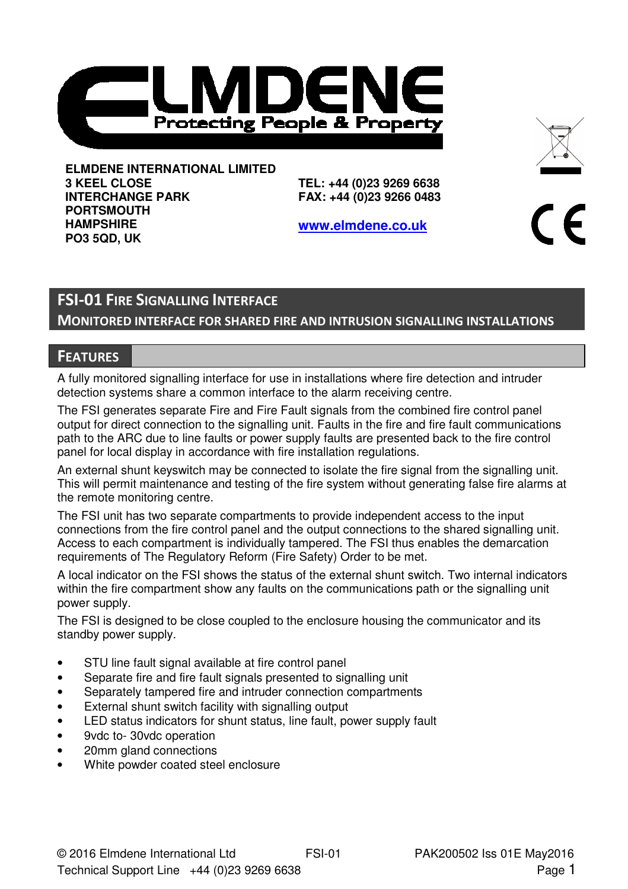



**ELMDENE INTERNATIONAL LIMITED 3 KEEL CLOSE INTERCHANGE PARK PORTSMOUTH HAMPSHIRE PO3 5QD, UK** 

**TEL: +44 (0)23 9269 6638 FAX: +44 (0)23 9266 0483** 

**www.elmdene.co.uk**



# FSI-01 FIRE SIGNALLING INTERFACE

MONITORED INTERFACE FOR SHARED FIRE AND INTRUSION SIGNALLING INSTALLATIONS

## **FEATURES**

A fully monitored signalling interface for use in installations where fire detection and intruder detection systems share a common interface to the alarm receiving centre.

The FSI generates separate Fire and Fire Fault signals from the combined fire control panel output for direct connection to the signalling unit. Faults in the fire and fire fault communications path to the ARC due to line faults or power supply faults are presented back to the fire control panel for local display in accordance with fire installation regulations.

An external shunt keyswitch may be connected to isolate the fire signal from the signalling unit. This will permit maintenance and testing of the fire system without generating false fire alarms at the remote monitoring centre.

The FSI unit has two separate compartments to provide independent access to the input connections from the fire control panel and the output connections to the shared signalling unit. Access to each compartment is individually tampered. The FSI thus enables the demarcation requirements of The Regulatory Reform (Fire Safety) Order to be met.

A local indicator on the FSI shows the status of the external shunt switch. Two internal indicators within the fire compartment show any faults on the communications path or the signalling unit power supply.

The FSI is designed to be close coupled to the enclosure housing the communicator and its standby power supply.

- STU line fault signal available at fire control panel
- Separate fire and fire fault signals presented to signalling unit
- Separately tampered fire and intruder connection compartments
- External shunt switch facility with signalling output
- LED status indicators for shunt status, line fault, power supply fault
- 9vdc to- 30vdc operation
- 20mm gland connections
- White powder coated steel enclosure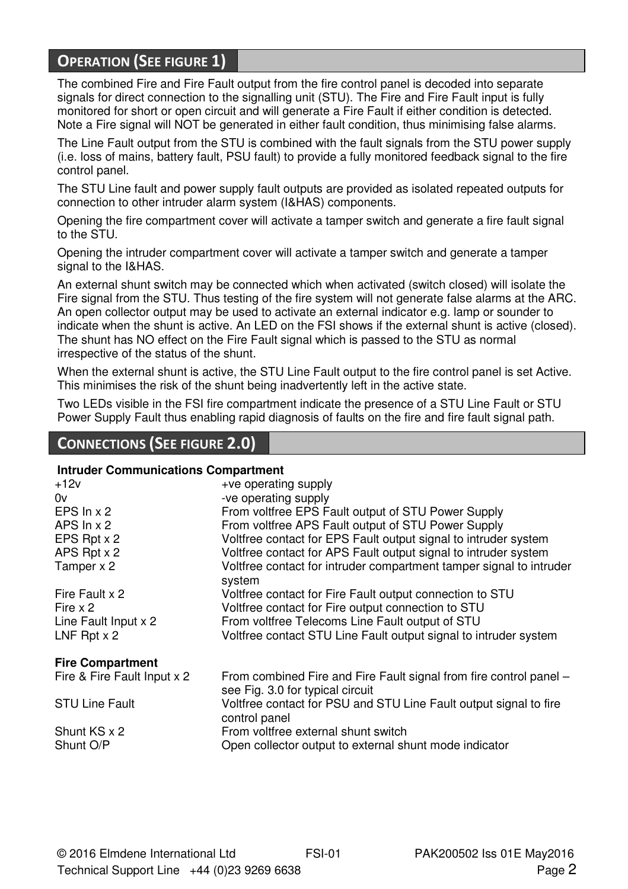# OPERATION (SEE FIGURE 1)

The combined Fire and Fire Fault output from the fire control panel is decoded into separate signals for direct connection to the signalling unit (STU). The Fire and Fire Fault input is fully monitored for short or open circuit and will generate a Fire Fault if either condition is detected. Note a Fire signal will NOT be generated in either fault condition, thus minimising false alarms.

The Line Fault output from the STU is combined with the fault signals from the STU power supply (i.e. loss of mains, battery fault, PSU fault) to provide a fully monitored feedback signal to the fire control panel.

The STU Line fault and power supply fault outputs are provided as isolated repeated outputs for connection to other intruder alarm system (I&HAS) components.

Opening the fire compartment cover will activate a tamper switch and generate a fire fault signal to the STU.

Opening the intruder compartment cover will activate a tamper switch and generate a tamper signal to the I&HAS.

An external shunt switch may be connected which when activated (switch closed) will isolate the Fire signal from the STU. Thus testing of the fire system will not generate false alarms at the ARC. An open collector output may be used to activate an external indicator e.g. lamp or sounder to indicate when the shunt is active. An LED on the FSI shows if the external shunt is active (closed). The shunt has NO effect on the Fire Fault signal which is passed to the STU as normal irrespective of the status of the shunt.

When the external shunt is active, the STU Line Fault output to the fire control panel is set Active. This minimises the risk of the shunt being inadvertently left in the active state.

Two LEDs visible in the FSI fire compartment indicate the presence of a STU Line Fault or STU Power Supply Fault thus enabling rapid diagnosis of faults on the fire and fire fault signal path.

## CONNECTIONS (SEE FIGURE 2.0)

#### **Intruder Communications Compartment**

| $+12v$                      | +ve operating supply                                                                                   |
|-----------------------------|--------------------------------------------------------------------------------------------------------|
| 0v                          | -ve operating supply                                                                                   |
| EPS $ln x 2$                | From voltfree EPS Fault output of STU Power Supply                                                     |
| APS $ln x$ 2                | From voltfree APS Fault output of STU Power Supply                                                     |
| EPS Rpt x 2                 | Voltfree contact for EPS Fault output signal to intruder system                                        |
| APS Rpt x 2                 | Voltfree contact for APS Fault output signal to intruder system                                        |
| Tamper x 2                  | Voltfree contact for intruder compartment tamper signal to intruder<br>system                          |
| Fire Fault x 2              | Voltfree contact for Fire Fault output connection to STU                                               |
| Fire $\times$ 2             | Voltfree contact for Fire output connection to STU                                                     |
| Line Fault Input x 2        | From voltfree Telecoms Line Fault output of STU                                                        |
| LNF Rpt $x$ 2               | Voltfree contact STU Line Fault output signal to intruder system                                       |
| <b>Fire Compartment</b>     |                                                                                                        |
| Fire & Fire Fault Input x 2 | From combined Fire and Fire Fault signal from fire control panel –<br>see Fig. 3.0 for typical circuit |
| <b>STU Line Fault</b>       | Voltfree contact for PSU and STU Line Fault output signal to fire<br>control panel                     |
| Shunt KS x 2                | From voltfree external shunt switch                                                                    |
| Shunt O/P                   | Open collector output to external shunt mode indicator                                                 |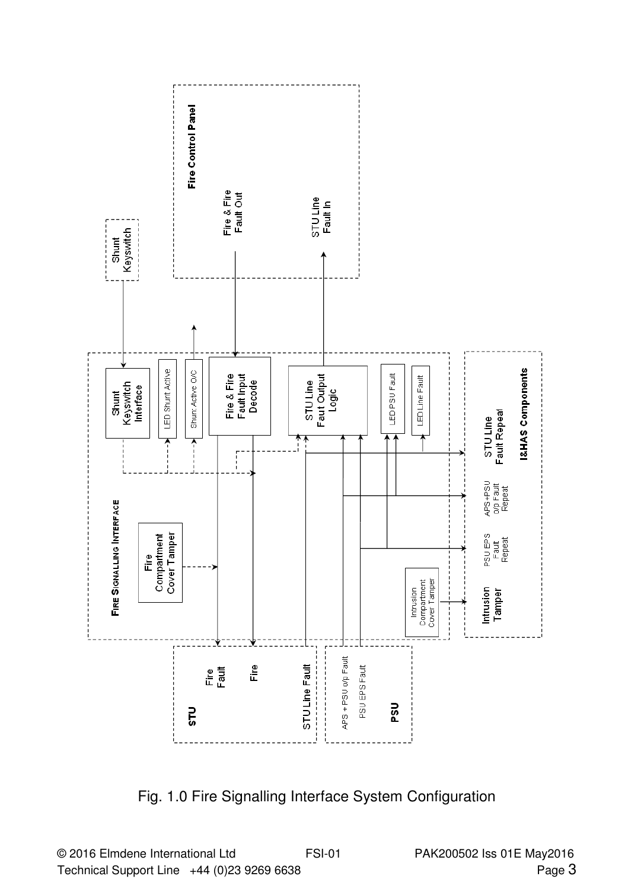

Fig. 1.0 Fire Signalling Interface System Configuration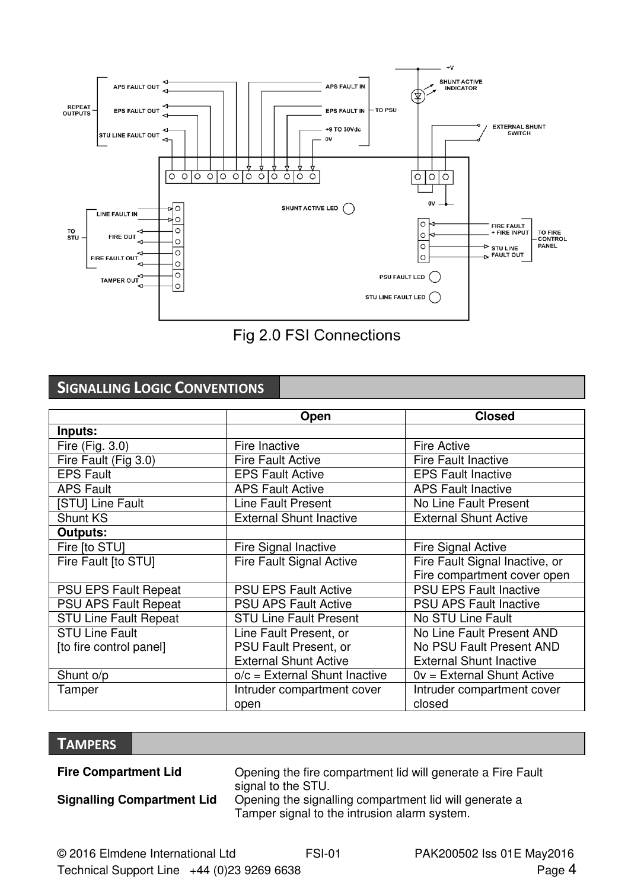



# SIGNALLING LOGIC CONVENTIONS

|                             | Open                            | <b>Closed</b>                  |
|-----------------------------|---------------------------------|--------------------------------|
| Inputs:                     |                                 |                                |
| Fire (Fig. 3.0)             | Fire Inactive                   | <b>Fire Active</b>             |
| Fire Fault (Fig 3.0)        | <b>Fire Fault Active</b>        | <b>Fire Fault Inactive</b>     |
| <b>EPS Fault</b>            | <b>EPS Fault Active</b>         | <b>EPS Fault Inactive</b>      |
| <b>APS Fault</b>            | <b>APS Fault Active</b>         | <b>APS Fault Inactive</b>      |
| ISTUI Line Fault            | Line Fault Present              | No Line Fault Present          |
| Shunt KS                    | <b>External Shunt Inactive</b>  | <b>External Shunt Active</b>   |
| Outputs:                    |                                 |                                |
| Fire [to STU]               | Fire Signal Inactive            | <b>Fire Signal Active</b>      |
| Fire Fault [to STU]         | Fire Fault Signal Active        | Fire Fault Signal Inactive, or |
|                             |                                 | Fire compartment cover open    |
| <b>PSU EPS Fault Repeat</b> | <b>PSU EPS Fault Active</b>     | <b>PSU EPS Fault Inactive</b>  |
| <b>PSU APS Fault Repeat</b> | <b>PSU APS Fault Active</b>     | <b>PSU APS Fault Inactive</b>  |
| STU Line Fault Repeat       | <b>STU Line Fault Present</b>   | No STU Line Fault              |
| <b>STU Line Fault</b>       | Line Fault Present, or          | No Line Fault Present AND      |
| [to fire control panel]     | <b>PSU Fault Present, or</b>    | No PSU Fault Present AND       |
|                             | <b>External Shunt Active</b>    | <b>External Shunt Inactive</b> |
| Shunt o/p                   | $o/c =$ External Shunt Inactive | 0y = External Shunt Active     |
| Tamper                      | Intruder compartment cover      | Intruder compartment cover     |
|                             | open                            | closed                         |

## **TAMPERS**

**Fire Compartment Lid Compartment Compartment lid will generate a Fire Fault** signal to the STU. **Signalling Compartment Lid** Opening the signalling compartment lid will generate a Tamper signal to the intrusion alarm system.

© 2016 Elmdene International Ltd FSI-01 PAK200502 Iss 01E May2016 Technical Support Line  $+44$  (0)23 9269 6638 Page 4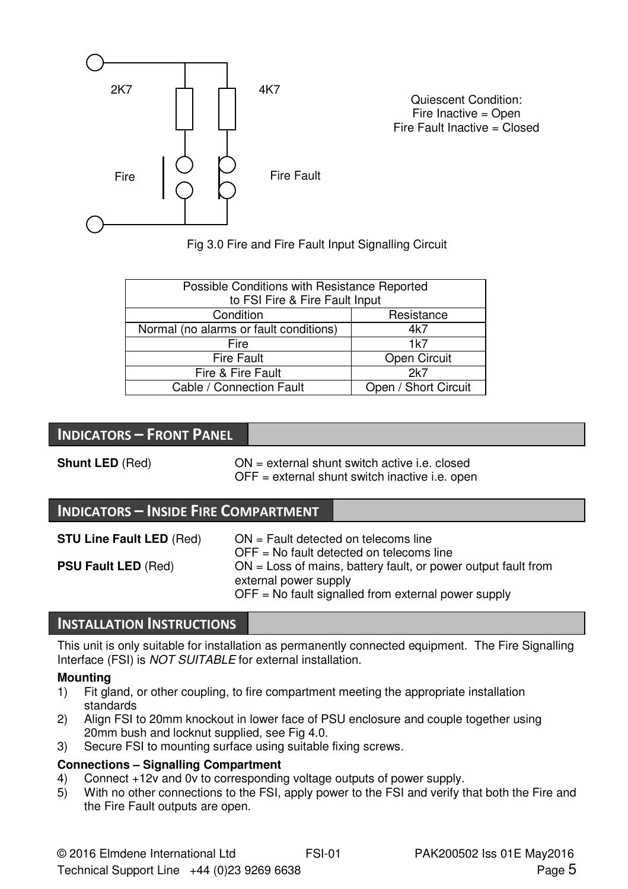

Quiescent Condition: Fire Inactive = Open Fire Fault Inactive = Closed

Fig 3.0 Fire and Fire Fault Input Signalling Circuit

| Possible Conditions with Resistance Reported<br>to FSI Fire & Fire Fault Input |                      |  |
|--------------------------------------------------------------------------------|----------------------|--|
| Condition                                                                      | Resistance           |  |
| Normal (no alarms or fault conditions)                                         | 4k7                  |  |
| Fire                                                                           | 1k7                  |  |
| Fire Fault                                                                     | Open Circuit         |  |
| Fire & Fire Fault                                                              | 2k7                  |  |
| Cable / Connection Fault                                                       | Open / Short Circuit |  |

## INDICATORS – FRONT PANEL

**Shunt LED** (Red) ON = external shunt switch active i.e. closed OFF = external shunt switch inactive i.e. open

## INDICATORS – INSIDE FIRE COMPARTMENT

| <b>STU Line Fault LED (Red)</b> | $ON =$ Fault detected on telecoms line<br>$OFF = No$ fault detected on telecoms line                                                              |
|---------------------------------|---------------------------------------------------------------------------------------------------------------------------------------------------|
| <b>PSU Fault LED (Red)</b>      | $ON = Loss$ of mains, battery fault, or power output fault from<br>external power supply<br>$OFF = No$ fault signalled from external power supply |

## INSTALLATION INSTRUCTIONS

This unit is only suitable for installation as permanently connected equipment. The Fire Signalling Interface (FSI) is NOT SUITABLE for external installation.

#### **Mounting**

- 1) Fit gland, or other coupling, to fire compartment meeting the appropriate installation standards
- 2) Align FSI to 20mm knockout in lower face of PSU enclosure and couple together using 20mm bush and locknut supplied, see Fig 4.0.
- 3) Secure FSI to mounting surface using suitable fixing screws.

#### **Connections – Signalling Compartment**

- 4) Connect +12v and 0v to corresponding voltage outputs of power supply.
- 5) With no other connections to the FSI, apply power to the FSI and verify that both the Fire and the Fire Fault outputs are open.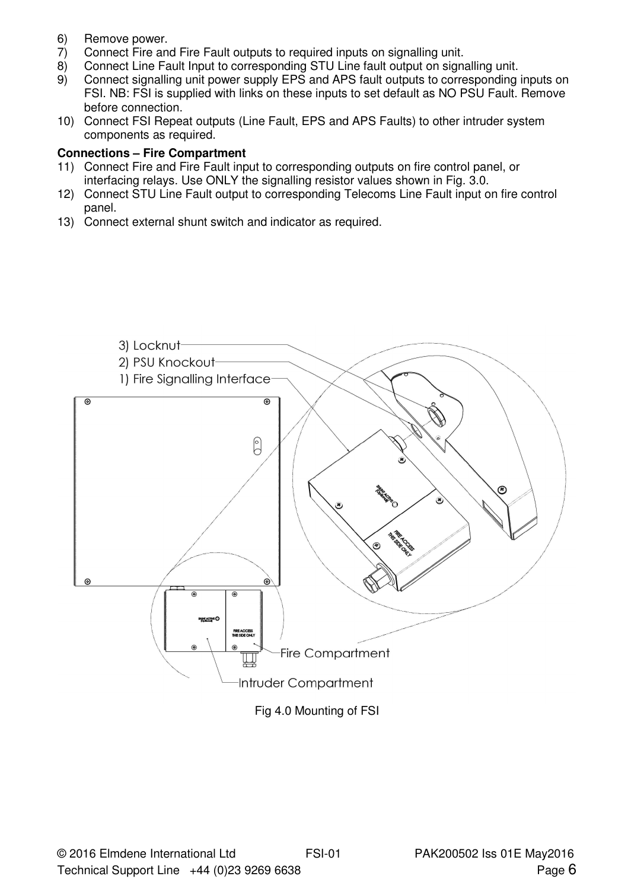- 6) Remove power.<br>7) Connect Fire an
- 7) Connect Fire and Fire Fault outputs to required inputs on signalling unit.
- 8) Connect Line Fault Input to corresponding STU Line fault output on signalling unit.<br>9) Connect signalling unit power supply EPS and APS fault outputs to corresponding
- 9) Connect signalling unit power supply EPS and APS fault outputs to corresponding inputs on FSI. NB: FSI is supplied with links on these inputs to set default as NO PSU Fault. Remove before connection.
- 10) Connect FSI Repeat outputs (Line Fault, EPS and APS Faults) to other intruder system components as required.

#### **Connections – Fire Compartment**

- 11) Connect Fire and Fire Fault input to corresponding outputs on fire control panel, or interfacing relays. Use ONLY the signalling resistor values shown in Fig. 3.0.
- 12) Connect STU Line Fault output to corresponding Telecoms Line Fault input on fire control panel.
- 13) Connect external shunt switch and indicator as required.

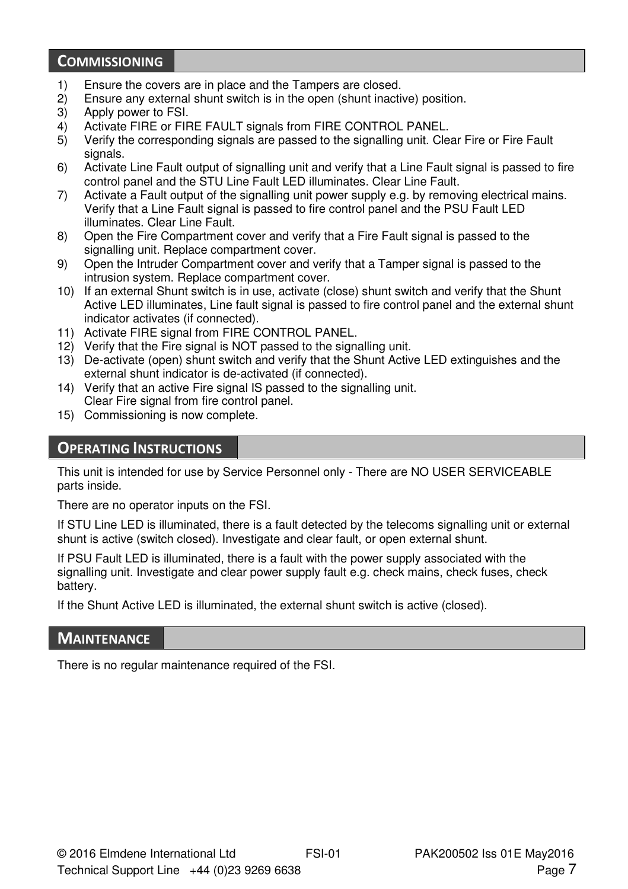## **COMMISSIONING**

- 1) Ensure the covers are in place and the Tampers are closed.
- 2) Ensure any external shunt switch is in the open (shunt inactive) position.<br>3) Apply power to FSI.
- Apply power to FSI.
- 4) Activate FIRE or FIRE FAULT signals from FIRE CONTROL PANEL.
- 5) Verify the corresponding signals are passed to the signalling unit. Clear Fire or Fire Fault signals.
- 6) Activate Line Fault output of signalling unit and verify that a Line Fault signal is passed to fire control panel and the STU Line Fault LED illuminates. Clear Line Fault.
- 7) Activate a Fault output of the signalling unit power supply e.g. by removing electrical mains. Verify that a Line Fault signal is passed to fire control panel and the PSU Fault LED illuminates. Clear Line Fault.
- 8) Open the Fire Compartment cover and verify that a Fire Fault signal is passed to the signalling unit. Replace compartment cover.
- 9) Open the Intruder Compartment cover and verify that a Tamper signal is passed to the intrusion system. Replace compartment cover.
- 10) If an external Shunt switch is in use, activate (close) shunt switch and verify that the Shunt Active LED illuminates, Line fault signal is passed to fire control panel and the external shunt indicator activates (if connected).
- 11) Activate FIRE signal from FIRE CONTROL PANEL.
- 12) Verify that the Fire signal is NOT passed to the signalling unit.
- 13) De-activate (open) shunt switch and verify that the Shunt Active LED extinguishes and the external shunt indicator is de-activated (if connected).
- 14) Verify that an active Fire signal IS passed to the signalling unit. Clear Fire signal from fire control panel.
- 15) Commissioning is now complete.

## OPERATING INSTRUCTIONS

This unit is intended for use by Service Personnel only - There are NO USER SERVICEABLE parts inside.

There are no operator inputs on the FSI.

If STU Line LED is illuminated, there is a fault detected by the telecoms signalling unit or external shunt is active (switch closed). Investigate and clear fault, or open external shunt.

If PSU Fault LED is illuminated, there is a fault with the power supply associated with the signalling unit. Investigate and clear power supply fault e.g. check mains, check fuses, check battery.

If the Shunt Active LED is illuminated, the external shunt switch is active (closed).

## **MAINTENANCE**

There is no regular maintenance required of the FSI.